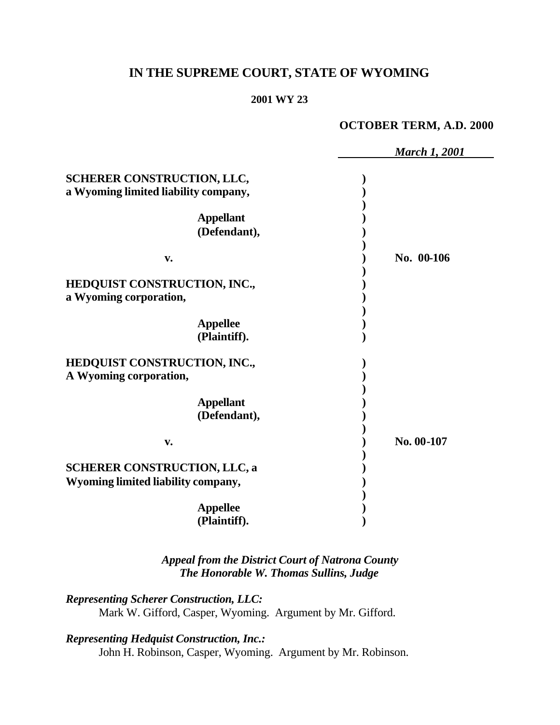# **IN THE SUPREME COURT, STATE OF WYOMING**

#### **2001 WY 23**

#### **OCTOBER TERM, A.D. 2000**

|                                                                           | <b>March 1, 2001</b> |
|---------------------------------------------------------------------------|----------------------|
| <b>SCHERER CONSTRUCTION, LLC,</b><br>a Wyoming limited liability company, |                      |
| <b>Appellant</b><br>(Defendant),<br>V.                                    | No. 00-106           |
| HEDQUIST CONSTRUCTION, INC.,<br>a Wyoming corporation,<br><b>Appellee</b> |                      |
| (Plaintiff).<br>HEDQUIST CONSTRUCTION, INC.,<br>A Wyoming corporation,    |                      |
| <b>Appellant</b><br>(Defendant),<br>v.                                    | No. 00-107           |
| <b>SCHERER CONSTRUCTION, LLC, a</b><br>Wyoming limited liability company, |                      |
| <b>Appellee</b><br>(Plaintiff).                                           |                      |

*Appeal from the District Court of Natrona County The Honorable W. Thomas Sullins, Judge*

*Representing Scherer Construction, LLC:* Mark W. Gifford, Casper, Wyoming. Argument by Mr. Gifford.

*Representing Hedquist Construction, Inc.:*

John H. Robinson, Casper, Wyoming. Argument by Mr. Robinson.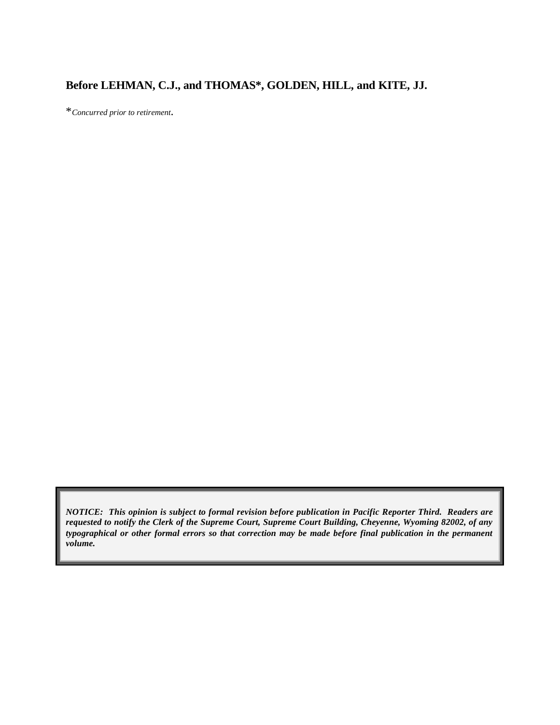## **Before LEHMAN, C.J., and THOMAS\*, GOLDEN, HILL, and KITE, JJ.**

\**Concurred prior to retirement*.

*NOTICE: This opinion is subject to formal revision before publication in Pacific Reporter Third. Readers are requested to notify the Clerk of the Supreme Court, Supreme Court Building, Cheyenne, Wyoming 82002, of any typographical or other formal errors so that correction may be made before final publication in the permanent volume.*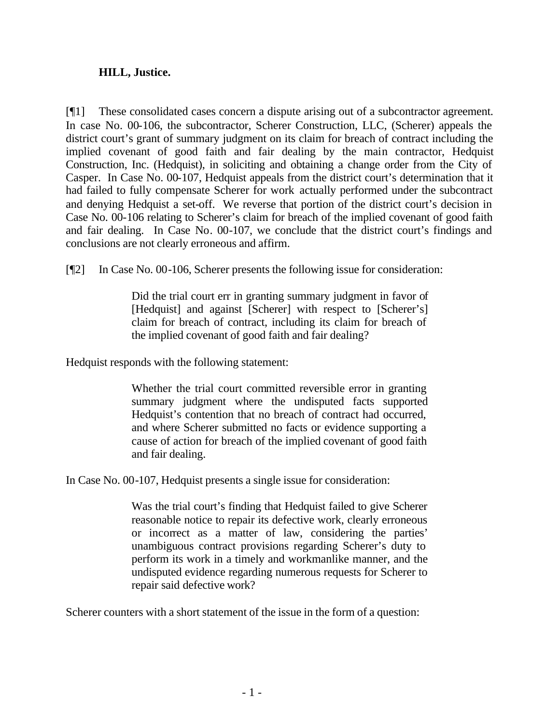#### **HILL, Justice.**

[¶1] These consolidated cases concern a dispute arising out of a subcontractor agreement. In case No. 00-106, the subcontractor, Scherer Construction, LLC, (Scherer) appeals the district court's grant of summary judgment on its claim for breach of contract including the implied covenant of good faith and fair dealing by the main contractor, Hedquist Construction, Inc. (Hedquist), in soliciting and obtaining a change order from the City of Casper. In Case No. 00-107, Hedquist appeals from the district court's determination that it had failed to fully compensate Scherer for work actually performed under the subcontract and denying Hedquist a set-off. We reverse that portion of the district court's decision in Case No. 00-106 relating to Scherer's claim for breach of the implied covenant of good faith and fair dealing. In Case No. 00-107, we conclude that the district court's findings and conclusions are not clearly erroneous and affirm.

[¶2] In Case No. 00-106, Scherer presents the following issue for consideration:

Did the trial court err in granting summary judgment in favor of [Hedquist] and against [Scherer] with respect to [Scherer's] claim for breach of contract, including its claim for breach of the implied covenant of good faith and fair dealing?

Hedquist responds with the following statement:

Whether the trial court committed reversible error in granting summary judgment where the undisputed facts supported Hedquist's contention that no breach of contract had occurred, and where Scherer submitted no facts or evidence supporting a cause of action for breach of the implied covenant of good faith and fair dealing.

In Case No. 00-107, Hedquist presents a single issue for consideration:

Was the trial court's finding that Hedquist failed to give Scherer reasonable notice to repair its defective work, clearly erroneous or incorrect as a matter of law, considering the parties' unambiguous contract provisions regarding Scherer's duty to perform its work in a timely and workmanlike manner, and the undisputed evidence regarding numerous requests for Scherer to repair said defective work?

Scherer counters with a short statement of the issue in the form of a question: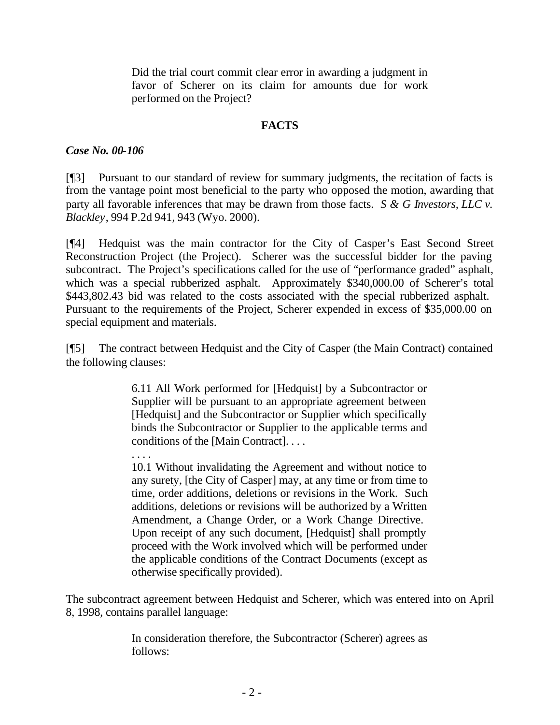Did the trial court commit clear error in awarding a judgment in favor of Scherer on its claim for amounts due for work performed on the Project?

#### **FACTS**

#### *Case No. 00-106*

[¶3] Pursuant to our standard of review for summary judgments, the recitation of facts is from the vantage point most beneficial to the party who opposed the motion, awarding that party all favorable inferences that may be drawn from those facts. *S & G Investors, LLC v. Blackley*, 994 P.2d 941, 943 (Wyo. 2000).

[¶4] Hedquist was the main contractor for the City of Casper's East Second Street Reconstruction Project (the Project). Scherer was the successful bidder for the paving subcontract. The Project's specifications called for the use of "performance graded" asphalt, which was a special rubberized asphalt. Approximately \$340,000.00 of Scherer's total \$443,802.43 bid was related to the costs associated with the special rubberized asphalt. Pursuant to the requirements of the Project, Scherer expended in excess of \$35,000.00 on special equipment and materials.

[¶5] The contract between Hedquist and the City of Casper (the Main Contract) contained the following clauses:

> 6.11 All Work performed for [Hedquist] by a Subcontractor or Supplier will be pursuant to an appropriate agreement between [Hedquist] and the Subcontractor or Supplier which specifically binds the Subcontractor or Supplier to the applicable terms and conditions of the [Main Contract]. . . .

. . . .

10.1 Without invalidating the Agreement and without notice to any surety, [the City of Casper] may, at any time or from time to time, order additions, deletions or revisions in the Work. Such additions, deletions or revisions will be authorized by a Written Amendment, a Change Order, or a Work Change Directive. Upon receipt of any such document, [Hedquist] shall promptly proceed with the Work involved which will be performed under the applicable conditions of the Contract Documents (except as otherwise specifically provided).

The subcontract agreement between Hedquist and Scherer, which was entered into on April 8, 1998, contains parallel language:

> In consideration therefore, the Subcontractor (Scherer) agrees as follows: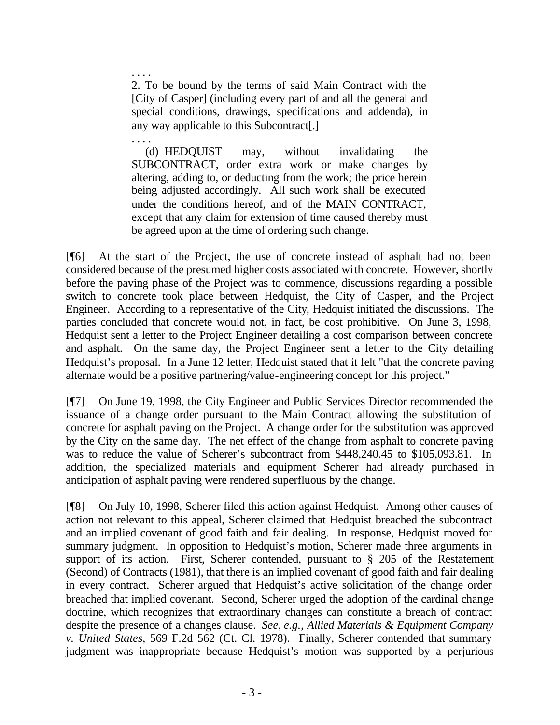. . . . 2. To be bound by the terms of said Main Contract with the [City of Casper] (including every part of and all the general and special conditions, drawings, specifications and addenda), in any way applicable to this Subcontract[.]

. . . .

 (d) HEDQUIST may, without invalidating the SUBCONTRACT, order extra work or make changes by altering, adding to, or deducting from the work; the price herein being adjusted accordingly. All such work shall be executed under the conditions hereof, and of the MAIN CONTRACT, except that any claim for extension of time caused thereby must be agreed upon at the time of ordering such change.

[¶6] At the start of the Project, the use of concrete instead of asphalt had not been considered because of the presumed higher costs associated with concrete. However, shortly before the paving phase of the Project was to commence, discussions regarding a possible switch to concrete took place between Hedquist, the City of Casper, and the Project Engineer. According to a representative of the City, Hedquist initiated the discussions. The parties concluded that concrete would not, in fact, be cost prohibitive. On June 3, 1998, Hedquist sent a letter to the Project Engineer detailing a cost comparison between concrete and asphalt. On the same day, the Project Engineer sent a letter to the City detailing Hedquist's proposal. In a June 12 letter, Hedquist stated that it felt "that the concrete paving alternate would be a positive partnering/value-engineering concept for this project."

[¶7] On June 19, 1998, the City Engineer and Public Services Director recommended the issuance of a change order pursuant to the Main Contract allowing the substitution of concrete for asphalt paving on the Project. A change order for the substitution was approved by the City on the same day. The net effect of the change from asphalt to concrete paving was to reduce the value of Scherer's subcontract from \$448,240.45 to \$105,093.81. In addition, the specialized materials and equipment Scherer had already purchased in anticipation of asphalt paving were rendered superfluous by the change.

[¶8] On July 10, 1998, Scherer filed this action against Hedquist. Among other causes of action not relevant to this appeal, Scherer claimed that Hedquist breached the subcontract and an implied covenant of good faith and fair dealing. In response, Hedquist moved for summary judgment. In opposition to Hedquist's motion, Scherer made three arguments in support of its action. First, Scherer contended, pursuant to § 205 of the Restatement (Second) of Contracts (1981), that there is an implied covenant of good faith and fair dealing in every contract. Scherer argued that Hedquist's active solicitation of the change order breached that implied covenant. Second, Scherer urged the adoption of the cardinal change doctrine, which recognizes that extraordinary changes can constitute a breach of contract despite the presence of a changes clause. *See, e.g., Allied Materials & Equipment Company v. United States*, 569 F.2d 562 (Ct. Cl. 1978). Finally, Scherer contended that summary judgment was inappropriate because Hedquist's motion was supported by a perjurious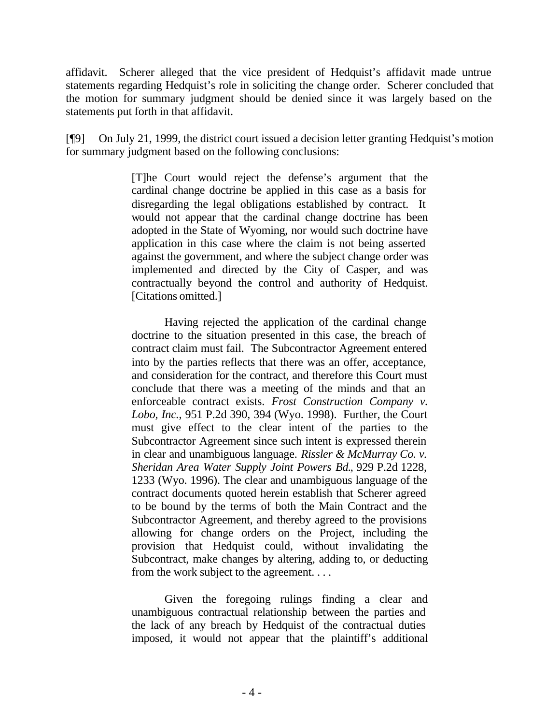affidavit. Scherer alleged that the vice president of Hedquist's affidavit made untrue statements regarding Hedquist's role in soliciting the change order. Scherer concluded that the motion for summary judgment should be denied since it was largely based on the statements put forth in that affidavit.

[¶9] On July 21, 1999, the district court issued a decision letter granting Hedquist's motion for summary judgment based on the following conclusions:

> [T]he Court would reject the defense's argument that the cardinal change doctrine be applied in this case as a basis for disregarding the legal obligations established by contract. It would not appear that the cardinal change doctrine has been adopted in the State of Wyoming, nor would such doctrine have application in this case where the claim is not being asserted against the government, and where the subject change order was implemented and directed by the City of Casper, and was contractually beyond the control and authority of Hedquist. [Citations omitted.]

> Having rejected the application of the cardinal change doctrine to the situation presented in this case, the breach of contract claim must fail. The Subcontractor Agreement entered into by the parties reflects that there was an offer, acceptance, and consideration for the contract, and therefore this Court must conclude that there was a meeting of the minds and that an enforceable contract exists. *Frost Construction Company v. Lobo, Inc.*, 951 P.2d 390, 394 (Wyo. 1998). Further, the Court must give effect to the clear intent of the parties to the Subcontractor Agreement since such intent is expressed therein in clear and unambiguous language. *Rissler & McMurray Co. v. Sheridan Area Water Supply Joint Powers Bd.*, 929 P.2d 1228, 1233 (Wyo. 1996). The clear and unambiguous language of the contract documents quoted herein establish that Scherer agreed to be bound by the terms of both the Main Contract and the Subcontractor Agreement, and thereby agreed to the provisions allowing for change orders on the Project, including the provision that Hedquist could, without invalidating the Subcontract, make changes by altering, adding to, or deducting from the work subject to the agreement. . . .

> Given the foregoing rulings finding a clear and unambiguous contractual relationship between the parties and the lack of any breach by Hedquist of the contractual duties imposed, it would not appear that the plaintiff's additional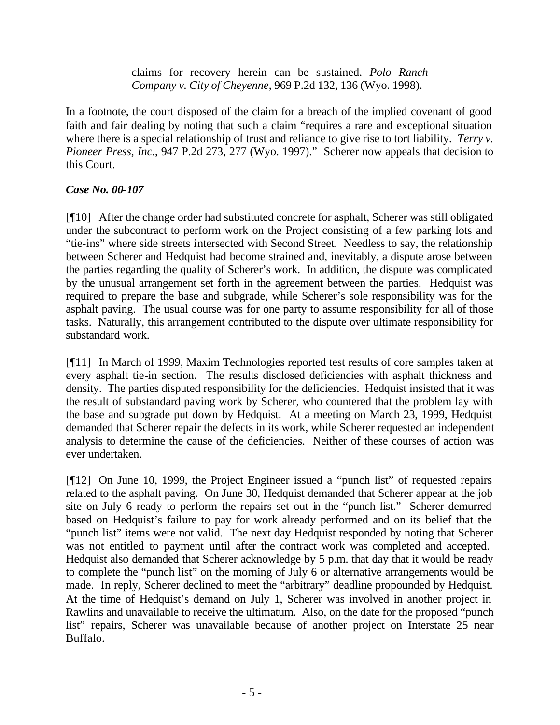claims for recovery herein can be sustained. *Polo Ranch Company v. City of Cheyenne*, 969 P.2d 132, 136 (Wyo. 1998).

In a footnote, the court disposed of the claim for a breach of the implied covenant of good faith and fair dealing by noting that such a claim "requires a rare and exceptional situation where there is a special relationship of trust and reliance to give rise to tort liability. *Terry v. Pioneer Press, Inc.*, 947 P.2d 273, 277 (Wyo. 1997)." Scherer now appeals that decision to this Court.

## *Case No. 00-107*

[¶10] After the change order had substituted concrete for asphalt, Scherer was still obligated under the subcontract to perform work on the Project consisting of a few parking lots and "tie-ins" where side streets intersected with Second Street. Needless to say, the relationship between Scherer and Hedquist had become strained and, inevitably, a dispute arose between the parties regarding the quality of Scherer's work. In addition, the dispute was complicated by the unusual arrangement set forth in the agreement between the parties. Hedquist was required to prepare the base and subgrade, while Scherer's sole responsibility was for the asphalt paving. The usual course was for one party to assume responsibility for all of those tasks. Naturally, this arrangement contributed to the dispute over ultimate responsibility for substandard work.

[¶11] In March of 1999, Maxim Technologies reported test results of core samples taken at every asphalt tie-in section. The results disclosed deficiencies with asphalt thickness and density. The parties disputed responsibility for the deficiencies. Hedquist insisted that it was the result of substandard paving work by Scherer, who countered that the problem lay with the base and subgrade put down by Hedquist. At a meeting on March 23, 1999, Hedquist demanded that Scherer repair the defects in its work, while Scherer requested an independent analysis to determine the cause of the deficiencies. Neither of these courses of action was ever undertaken.

[¶12] On June 10, 1999, the Project Engineer issued a "punch list" of requested repairs related to the asphalt paving. On June 30, Hedquist demanded that Scherer appear at the job site on July 6 ready to perform the repairs set out in the "punch list." Scherer demurred based on Hedquist's failure to pay for work already performed and on its belief that the "punch list" items were not valid. The next day Hedquist responded by noting that Scherer was not entitled to payment until after the contract work was completed and accepted. Hedquist also demanded that Scherer acknowledge by 5 p.m. that day that it would be ready to complete the "punch list" on the morning of July 6 or alternative arrangements would be made. In reply, Scherer declined to meet the "arbitrary" deadline propounded by Hedquist. At the time of Hedquist's demand on July 1, Scherer was involved in another project in Rawlins and unavailable to receive the ultimatum. Also, on the date for the proposed "punch list" repairs, Scherer was unavailable because of another project on Interstate 25 near Buffalo.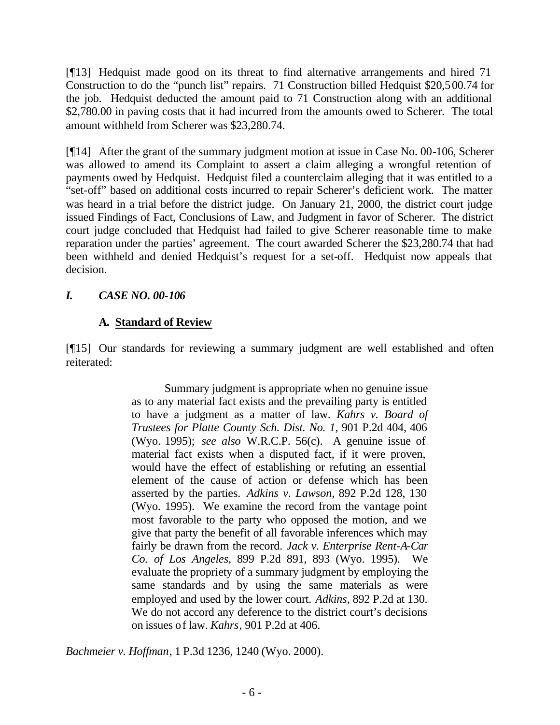[¶13] Hedquist made good on its threat to find alternative arrangements and hired 71 Construction to do the "punch list" repairs. 71 Construction billed Hedquist \$20,500.74 for the job. Hedquist deducted the amount paid to 71 Construction along with an additional \$2,780.00 in paving costs that it had incurred from the amounts owed to Scherer. The total amount withheld from Scherer was \$23,280.74.

[¶14] After the grant of the summary judgment motion at issue in Case No. 00-106, Scherer was allowed to amend its Complaint to assert a claim alleging a wrongful retention of payments owed by Hedquist. Hedquist filed a counterclaim alleging that it was entitled to a "set-off" based on additional costs incurred to repair Scherer's deficient work. The matter was heard in a trial before the district judge. On January 21, 2000, the district court judge issued Findings of Fact, Conclusions of Law, and Judgment in favor of Scherer. The district court judge concluded that Hedquist had failed to give Scherer reasonable time to make reparation under the parties' agreement. The court awarded Scherer the \$23,280.74 that had been withheld and denied Hedquist's request for a set-off. Hedquist now appeals that decision.

## *I. CASE NO. 00-106*

# **A. Standard of Review**

[¶15] Our standards for reviewing a summary judgment are well established and often reiterated:

> Summary judgment is appropriate when no genuine issue as to any material fact exists and the prevailing party is entitled to have a judgment as a matter of law. *Kahrs v. Board of Trustees for Platte County Sch. Dist. No. 1*, 901 P.2d 404, 406 (Wyo. 1995); *see also* W.R.C.P. 56(c). A genuine issue of material fact exists when a disputed fact, if it were proven, would have the effect of establishing or refuting an essential element of the cause of action or defense which has been asserted by the parties. *Adkins v. Lawson*, 892 P.2d 128, 130 (Wyo. 1995). We examine the record from the vantage point most favorable to the party who opposed the motion, and we give that party the benefit of all favorable inferences which may fairly be drawn from the record. *Jack v. Enterprise Rent-A-Car Co. of Los Angeles*, 899 P.2d 891, 893 (Wyo. 1995). We evaluate the propriety of a summary judgment by employing the same standards and by using the same materials as were employed and used by the lower court. *Adkins*, 892 P.2d at 130. We do not accord any deference to the district court's decisions on issues of law. *Kahrs*, 901 P.2d at 406.

*Bachmeier v. Hoffman*, 1 P.3d 1236, 1240 (Wyo. 2000).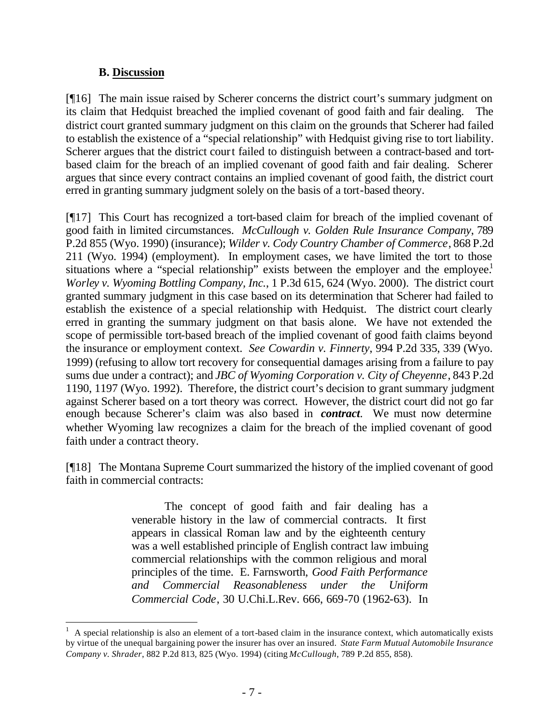### **B. Discussion**

l

[¶16] The main issue raised by Scherer concerns the district court's summary judgment on its claim that Hedquist breached the implied covenant of good faith and fair dealing. The district court granted summary judgment on this claim on the grounds that Scherer had failed to establish the existence of a "special relationship" with Hedquist giving rise to tort liability. Scherer argues that the district court failed to distinguish between a contract-based and tortbased claim for the breach of an implied covenant of good faith and fair dealing. Scherer argues that since every contract contains an implied covenant of good faith, the district court erred in granting summary judgment solely on the basis of a tort-based theory.

[¶17] This Court has recognized a tort-based claim for breach of the implied covenant of good faith in limited circumstances. *McCullough v. Golden Rule Insurance Company*, 789 P.2d 855 (Wyo. 1990) (insurance); *Wilder v. Cody Country Chamber of Commerce*, 868 P.2d 211 (Wyo. 1994) (employment). In employment cases, we have limited the tort to those situations where a "special relationship" exists between the employer and the employee.<sup>1</sup> *Worley v. Wyoming Bottling Company, Inc.*, 1 P.3d 615, 624 (Wyo. 2000). The district court granted summary judgment in this case based on its determination that Scherer had failed to establish the existence of a special relationship with Hedquist. The district court clearly erred in granting the summary judgment on that basis alone. We have not extended the scope of permissible tort-based breach of the implied covenant of good faith claims beyond the insurance or employment context. *See Cowardin v. Finnerty*, 994 P.2d 335, 339 (Wyo. 1999) (refusing to allow tort recovery for consequential damages arising from a failure to pay sums due under a contract); and *JBC of Wyoming Corporation v. City of Cheyenne*, 843 P.2d 1190, 1197 (Wyo. 1992). Therefore, the district court's decision to grant summary judgment against Scherer based on a tort theory was correct. However, the district court did not go far enough because Scherer's claim was also based in *contract*. We must now determine whether Wyoming law recognizes a claim for the breach of the implied covenant of good faith under a contract theory.

[¶18] The Montana Supreme Court summarized the history of the implied covenant of good faith in commercial contracts:

> The concept of good faith and fair dealing has a venerable history in the law of commercial contracts. It first appears in classical Roman law and by the eighteenth century was a well established principle of English contract law imbuing commercial relationships with the common religious and moral principles of the time. E. Farnsworth, *Good Faith Performance and Commercial Reasonableness under the Uniform Commercial Code*, 30 U.Chi.L.Rev. 666, 669-70 (1962-63). In

<sup>1</sup> A special relationship is also an element of a tort-based claim in the insurance context, which automatically exists by virtue of the unequal bargaining power the insurer has over an insured. *State Farm Mutual Automobile Insurance Company v. Shrader*, 882 P.2d 813, 825 (Wyo. 1994) (citing *McCullough*, 789 P.2d 855, 858).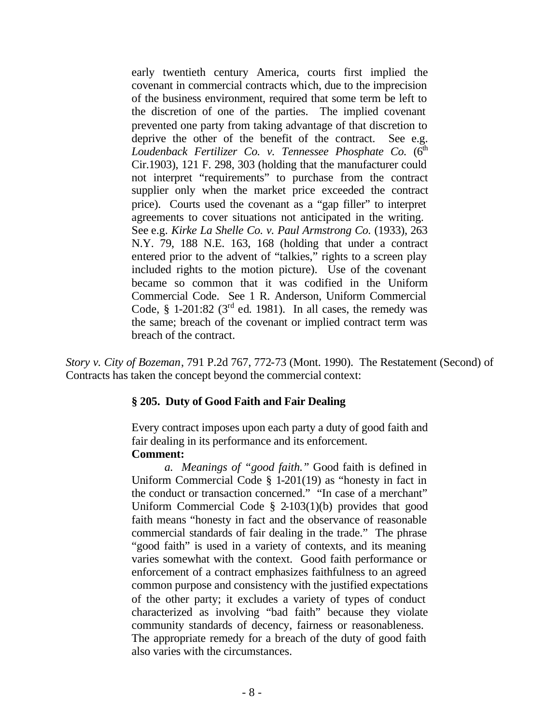early twentieth century America, courts first implied the covenant in commercial contracts which, due to the imprecision of the business environment, required that some term be left to the discretion of one of the parties. The implied covenant prevented one party from taking advantage of that discretion to deprive the other of the benefit of the contract. See e.g. Loudenback Fertilizer Co. v. Tennessee Phosphate Co. (6<sup>th</sup> Cir.1903), 121 F. 298, 303 (holding that the manufacturer could not interpret "requirements" to purchase from the contract supplier only when the market price exceeded the contract price). Courts used the covenant as a "gap filler" to interpret agreements to cover situations not anticipated in the writing. See e.g. *Kirke La Shelle Co. v. Paul Armstrong Co.* (1933), 263 N.Y. 79, 188 N.E. 163, 168 (holding that under a contract entered prior to the advent of "talkies," rights to a screen play included rights to the motion picture). Use of the covenant became so common that it was codified in the Uniform Commercial Code. See 1 R. Anderson, Uniform Commercial Code,  $\S$  1-201:82 ( $3<sup>rd</sup>$  ed. 1981). In all cases, the remedy was the same; breach of the covenant or implied contract term was breach of the contract.

*Story v. City of Bozeman*, 791 P.2d 767, 772-73 (Mont. 1990). The Restatement (Second) of Contracts has taken the concept beyond the commercial context:

#### **§ 205. Duty of Good Faith and Fair Dealing**

Every contract imposes upon each party a duty of good faith and fair dealing in its performance and its enforcement. **Comment:**

*a. Meanings of "good faith."* Good faith is defined in Uniform Commercial Code § 1-201(19) as "honesty in fact in the conduct or transaction concerned." "In case of a merchant" Uniform Commercial Code  $\S$  2-103(1)(b) provides that good faith means "honesty in fact and the observance of reasonable commercial standards of fair dealing in the trade." The phrase "good faith" is used in a variety of contexts, and its meaning varies somewhat with the context. Good faith performance or enforcement of a contract emphasizes faithfulness to an agreed common purpose and consistency with the justified expectations of the other party; it excludes a variety of types of conduct characterized as involving "bad faith" because they violate community standards of decency, fairness or reasonableness. The appropriate remedy for a breach of the duty of good faith also varies with the circumstances.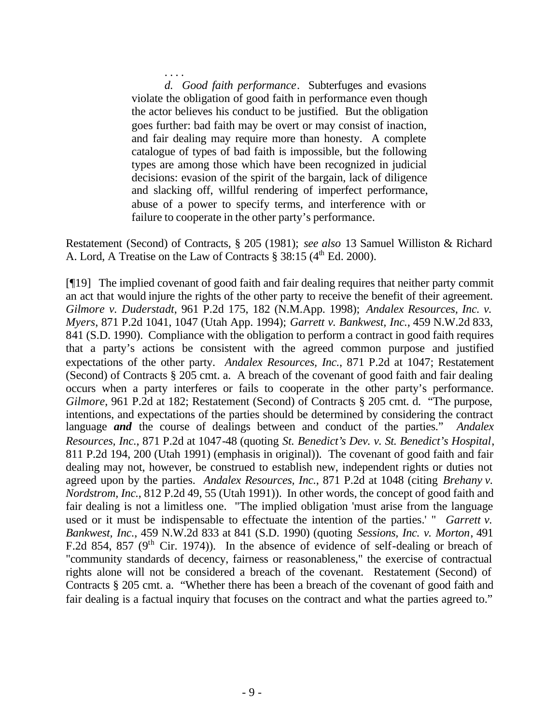. . . . *d. Good faith performance*. Subterfuges and evasions violate the obligation of good faith in performance even though the actor believes his conduct to be justified. But the obligation goes further: bad faith may be overt or may consist of inaction, and fair dealing may require more than honesty. A complete catalogue of types of bad faith is impossible, but the following types are among those which have been recognized in judicial decisions: evasion of the spirit of the bargain, lack of diligence and slacking off, willful rendering of imperfect performance, abuse of a power to specify terms, and interference with or failure to cooperate in the other party's performance.

Restatement (Second) of Contracts, § 205 (1981); *see also* 13 Samuel Williston & Richard A. Lord, A Treatise on the Law of Contracts  $\S 38:15$  (4<sup>th</sup> Ed. 2000).

[¶19] The implied covenant of good faith and fair dealing requires that neither party commit an act that would injure the rights of the other party to receive the benefit of their agreement. *Gilmore v. Duderstadt*, 961 P.2d 175, 182 (N.M.App. 1998); *Andalex Resources, Inc. v. Myers*, 871 P.2d 1041, 1047 (Utah App. 1994); *Garrett v. Bankwest, Inc.*, 459 N.W.2d 833, 841 (S.D. 1990). Compliance with the obligation to perform a contract in good faith requires that a party's actions be consistent with the agreed common purpose and justified expectations of the other party. *Andalex Resources, Inc.*, 871 P.2d at 1047; Restatement (Second) of Contracts § 205 cmt. a. A breach of the covenant of good faith and fair dealing occurs when a party interferes or fails to cooperate in the other party's performance. *Gilmore*, 961 P.2d at 182; Restatement (Second) of Contracts § 205 cmt. d. "The purpose, intentions, and expectations of the parties should be determined by considering the contract language *and* the course of dealings between and conduct of the parties." *Andalex Resources, Inc.*, 871 P.2d at 1047-48 (quoting *St. Benedict's Dev. v. St. Benedict's Hospital*, 811 P.2d 194, 200 (Utah 1991) (emphasis in original)). The covenant of good faith and fair dealing may not, however, be construed to establish new, independent rights or duties not agreed upon by the parties. *Andalex Resources, Inc.*, 871 P.2d at 1048 (citing *Brehany v. Nordstrom, Inc.*, 812 P.2d 49, 55 (Utah 1991)). In other words, the concept of good faith and fair dealing is not a limitless one. "The implied obligation 'must arise from the language used or it must be indispensable to effectuate the intention of the parties.' " *Garrett v. Bankwest, Inc.*, 459 N.W.2d 833 at 841 (S.D. 1990) (quoting *Sessions, Inc. v. Morton*, 491 F.2d 854, 857 ( $9<sup>th</sup>$  Cir. 1974)). In the absence of evidence of self-dealing or breach of "community standards of decency, fairness or reasonableness," the exercise of contractual rights alone will not be considered a breach of the covenant. Restatement (Second) of Contracts § 205 cmt. a. "Whether there has been a breach of the covenant of good faith and fair dealing is a factual inquiry that focuses on the contract and what the parties agreed to."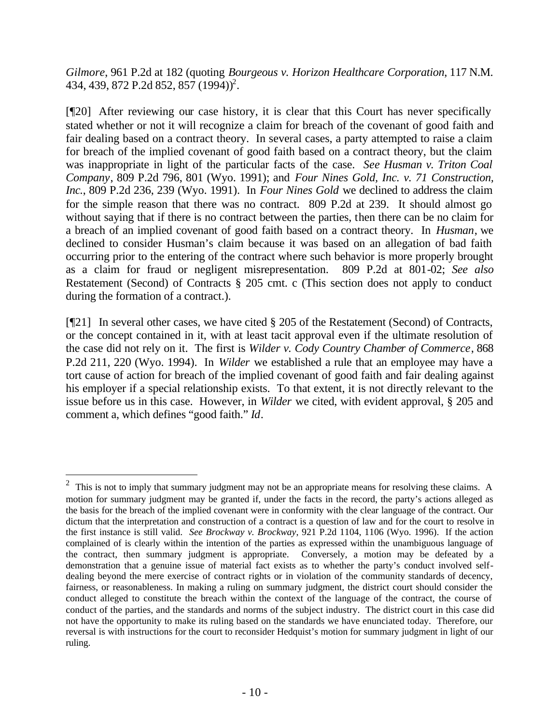*Gilmore*, 961 P.2d at 182 (quoting *Bourgeous v. Horizon Healthcare Corporation*, 117 N.M. 434, 439, 872 P.2d 852, 857 (1994))<sup>2</sup>.

[¶20] After reviewing our case history, it is clear that this Court has never specifically stated whether or not it will recognize a claim for breach of the covenant of good faith and fair dealing based on a contract theory. In several cases, a party attempted to raise a claim for breach of the implied covenant of good faith based on a contract theory, but the claim was inappropriate in light of the particular facts of the case. *See Husman v. Triton Coal Company*, 809 P.2d 796, 801 (Wyo. 1991); and *Four Nines Gold, Inc. v. 71 Construction, Inc.*, 809 P.2d 236, 239 (Wyo. 1991). In *Four Nines Gold* we declined to address the claim for the simple reason that there was no contract. 809 P.2d at 239. It should almost go without saying that if there is no contract between the parties, then there can be no claim for a breach of an implied covenant of good faith based on a contract theory. In *Husman*, we declined to consider Husman's claim because it was based on an allegation of bad faith occurring prior to the entering of the contract where such behavior is more properly brought as a claim for fraud or negligent misrepresentation. 809 P.2d at 801-02; *See also* Restatement (Second) of Contracts § 205 cmt. c (This section does not apply to conduct during the formation of a contract.).

[¶21] In several other cases, we have cited § 205 of the Restatement (Second) of Contracts, or the concept contained in it, with at least tacit approval even if the ultimate resolution of the case did not rely on it. The first is *Wilder v. Cody Country Chamber of Commerce*, 868 P.2d 211, 220 (Wyo. 1994). In *Wilder* we established a rule that an employee may have a tort cause of action for breach of the implied covenant of good faith and fair dealing against his employer if a special relationship exists. To that extent, it is not directly relevant to the issue before us in this case. However, in *Wilder* we cited, with evident approval, § 205 and comment a, which defines "good faith." *Id*.

l

 $2$  This is not to imply that summary judgment may not be an appropriate means for resolving these claims. A motion for summary judgment may be granted if, under the facts in the record, the party's actions alleged as the basis for the breach of the implied covenant were in conformity with the clear language of the contract. Our dictum that the interpretation and construction of a contract is a question of law and for the court to resolve in the first instance is still valid. *See Brockway v. Brockway*, 921 P.2d 1104, 1106 (Wyo. 1996). If the action complained of is clearly within the intention of the parties as expressed within the unambiguous language of the contract, then summary judgment is appropriate. Conversely, a motion may be defeated by a demonstration that a genuine issue of material fact exists as to whether the party's conduct involved selfdealing beyond the mere exercise of contract rights or in violation of the community standards of decency, fairness, or reasonableness. In making a ruling on summary judgment, the district court should consider the conduct alleged to constitute the breach within the context of the language of the contract, the course of conduct of the parties, and the standards and norms of the subject industry. The district court in this case did not have the opportunity to make its ruling based on the standards we have enunciated today. Therefore, our reversal is with instructions for the court to reconsider Hedquist's motion for summary judgment in light of our ruling.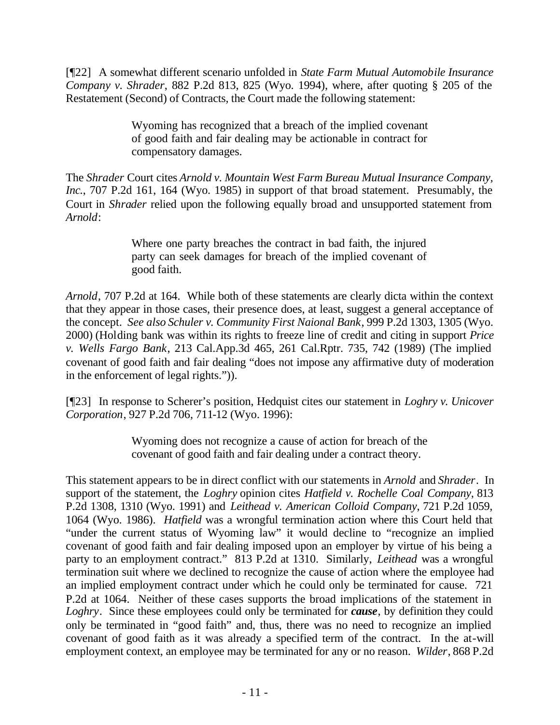[¶22] A somewhat different scenario unfolded in *State Farm Mutual Automobile Insurance Company v. Shrader*, 882 P.2d 813, 825 (Wyo. 1994), where, after quoting § 205 of the Restatement (Second) of Contracts, the Court made the following statement:

> Wyoming has recognized that a breach of the implied covenant of good faith and fair dealing may be actionable in contract for compensatory damages.

The *Shrader* Court cites *Arnold v. Mountain West Farm Bureau Mutual Insurance Company, Inc.*, 707 P.2d 161, 164 (Wyo. 1985) in support of that broad statement. Presumably, the Court in *Shrader* relied upon the following equally broad and unsupported statement from *Arnold*:

> Where one party breaches the contract in bad faith, the injured party can seek damages for breach of the implied covenant of good faith.

*Arnold*, 707 P.2d at 164. While both of these statements are clearly dicta within the context that they appear in those cases, their presence does, at least, suggest a general acceptance of the concept. *See also Schuler v. Community First Naional Bank*, 999 P.2d 1303, 1305 (Wyo. 2000) (Holding bank was within its rights to freeze line of credit and citing in support *Price v. Wells Fargo Bank*, 213 Cal.App.3d 465, 261 Cal.Rptr. 735, 742 (1989) (The implied covenant of good faith and fair dealing "does not impose any affirmative duty of moderation in the enforcement of legal rights.")).

[¶23] In response to Scherer's position, Hedquist cites our statement in *Loghry v. Unicover Corporation*, 927 P.2d 706, 711-12 (Wyo. 1996):

> Wyoming does not recognize a cause of action for breach of the covenant of good faith and fair dealing under a contract theory.

This statement appears to be in direct conflict with our statements in *Arnold* and *Shrader*. In support of the statement, the *Loghry* opinion cites *Hatfield v. Rochelle Coal Company*, 813 P.2d 1308, 1310 (Wyo. 1991) and *Leithead v. American Colloid Company*, 721 P.2d 1059, 1064 (Wyo. 1986). *Hatfield* was a wrongful termination action where this Court held that "under the current status of Wyoming law" it would decline to "recognize an implied covenant of good faith and fair dealing imposed upon an employer by virtue of his being a party to an employment contract." 813 P.2d at 1310. Similarly, *Leithead* was a wrongful termination suit where we declined to recognize the cause of action where the employee had an implied employment contract under which he could only be terminated for cause. 721 P.2d at 1064. Neither of these cases supports the broad implications of the statement in *Loghry*. Since these employees could only be terminated for *cause*, by definition they could only be terminated in "good faith" and, thus, there was no need to recognize an implied covenant of good faith as it was already a specified term of the contract. In the at-will employment context, an employee may be terminated for any or no reason. *Wilder*, 868 P.2d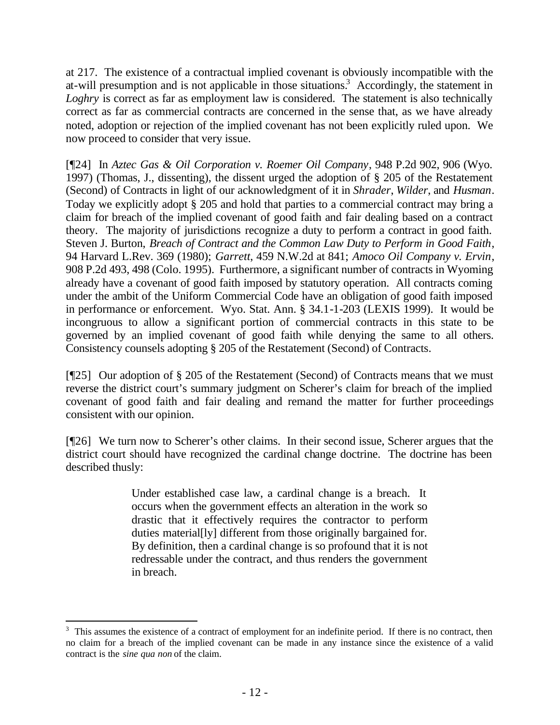at 217. The existence of a contractual implied covenant is obviously incompatible with the at-will presumption and is not applicable in those situations.<sup>3</sup> Accordingly, the statement in *Loghry* is correct as far as employment law is considered. The statement is also technically correct as far as commercial contracts are concerned in the sense that, as we have already noted, adoption or rejection of the implied covenant has not been explicitly ruled upon. We now proceed to consider that very issue.

[¶24] In *Aztec Gas & Oil Corporation v. Roemer Oil Company*, 948 P.2d 902, 906 (Wyo. 1997) (Thomas, J., dissenting), the dissent urged the adoption of § 205 of the Restatement (Second) of Contracts in light of our acknowledgment of it in *Shrader*, *Wilder*, and *Husman*. Today we explicitly adopt § 205 and hold that parties to a commercial contract may bring a claim for breach of the implied covenant of good faith and fair dealing based on a contract theory. The majority of jurisdictions recognize a duty to perform a contract in good faith. Steven J. Burton, *Breach of Contract and the Common Law Duty to Perform in Good Faith*, 94 Harvard L.Rev. 369 (1980); *Garrett*, 459 N.W.2d at 841; *Amoco Oil Company v. Ervin*, 908 P.2d 493, 498 (Colo. 1995). Furthermore, a significant number of contracts in Wyoming already have a covenant of good faith imposed by statutory operation. All contracts coming under the ambit of the Uniform Commercial Code have an obligation of good faith imposed in performance or enforcement. Wyo. Stat. Ann. § 34.1-1-203 (LEXIS 1999). It would be incongruous to allow a significant portion of commercial contracts in this state to be governed by an implied covenant of good faith while denying the same to all others. Consistency counsels adopting § 205 of the Restatement (Second) of Contracts.

[¶25] Our adoption of § 205 of the Restatement (Second) of Contracts means that we must reverse the district court's summary judgment on Scherer's claim for breach of the implied covenant of good faith and fair dealing and remand the matter for further proceedings consistent with our opinion.

[¶26] We turn now to Scherer's other claims. In their second issue, Scherer argues that the district court should have recognized the cardinal change doctrine. The doctrine has been described thusly:

> Under established case law, a cardinal change is a breach. It occurs when the government effects an alteration in the work so drastic that it effectively requires the contractor to perform duties material[ly] different from those originally bargained for. By definition, then a cardinal change is so profound that it is not redressable under the contract, and thus renders the government in breach.

l

 $3$  This assumes the existence of a contract of employment for an indefinite period. If there is no contract, then no claim for a breach of the implied covenant can be made in any instance since the existence of a valid contract is the *sine qua non* of the claim.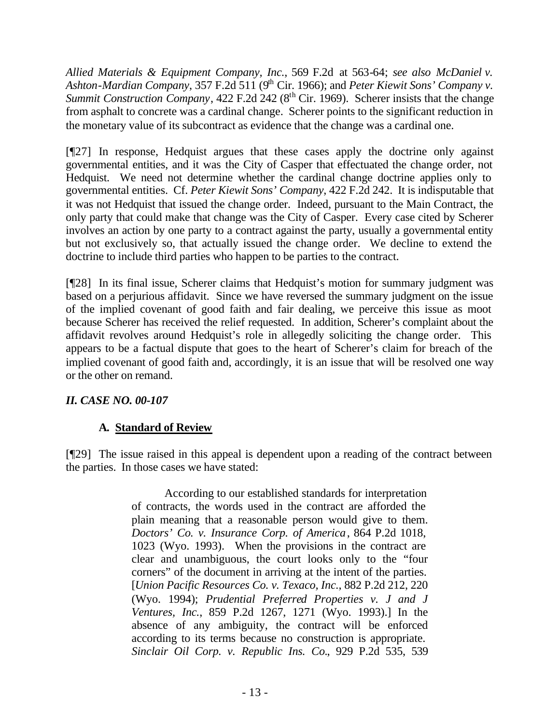*Allied Materials & Equipment Company, Inc.*, 569 F.2d at 563-64; *see also McDaniel v.*  Ashton-Mardian Company, 357 F.2d 511 (9<sup>th</sup> Cir. 1966); and *Peter Kiewit Sons' Company v. Summit Construction Company*, 422 F.2d 242 (8<sup>th</sup> Cir. 1969). Scherer insists that the change from asphalt to concrete was a cardinal change. Scherer points to the significant reduction in the monetary value of its subcontract as evidence that the change was a cardinal one.

[¶27] In response, Hedquist argues that these cases apply the doctrine only against governmental entities, and it was the City of Casper that effectuated the change order, not Hedquist. We need not determine whether the cardinal change doctrine applies only to governmental entities. Cf. *Peter Kiewit Sons' Company*, 422 F.2d 242. It is indisputable that it was not Hedquist that issued the change order. Indeed, pursuant to the Main Contract, the only party that could make that change was the City of Casper. Every case cited by Scherer involves an action by one party to a contract against the party, usually a governmental entity but not exclusively so, that actually issued the change order. We decline to extend the doctrine to include third parties who happen to be parties to the contract.

[¶28] In its final issue, Scherer claims that Hedquist's motion for summary judgment was based on a perjurious affidavit. Since we have reversed the summary judgment on the issue of the implied covenant of good faith and fair dealing, we perceive this issue as moot because Scherer has received the relief requested. In addition, Scherer's complaint about the affidavit revolves around Hedquist's role in allegedly soliciting the change order. This appears to be a factual dispute that goes to the heart of Scherer's claim for breach of the implied covenant of good faith and, accordingly, it is an issue that will be resolved one way or the other on remand.

## *II. CASE NO. 00-107*

# **A. Standard of Review**

[¶29] The issue raised in this appeal is dependent upon a reading of the contract between the parties. In those cases we have stated:

> According to our established standards for interpretation of contracts, the words used in the contract are afforded the plain meaning that a reasonable person would give to them. *Doctors' Co. v. Insurance Corp. of America*, 864 P.2d 1018, 1023 (Wyo. 1993). When the provisions in the contract are clear and unambiguous, the court looks only to the "four corners" of the document in arriving at the intent of the parties. [*Union Pacific Resources Co. v. Texaco, Inc.*, 882 P.2d 212, 220 (Wyo. 1994); *Prudential Preferred Properties v. J and J Ventures, Inc.*, 859 P.2d 1267, 1271 (Wyo. 1993).] In the absence of any ambiguity, the contract will be enforced according to its terms because no construction is appropriate. *Sinclair Oil Corp. v. Republic Ins. Co.*, 929 P.2d 535, 539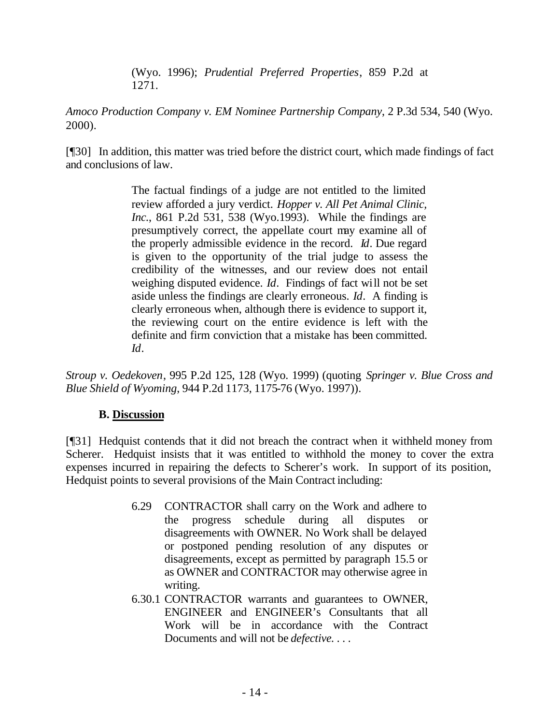(Wyo. 1996); *Prudential Preferred Properties*, 859 P.2d at 1271.

*Amoco Production Company v. EM Nominee Partnership Company*, 2 P.3d 534, 540 (Wyo. 2000).

[¶30] In addition, this matter was tried before the district court, which made findings of fact and conclusions of law.

> The factual findings of a judge are not entitled to the limited review afforded a jury verdict. *Hopper v. All Pet Animal Clinic, Inc.*, 861 P.2d 531, 538 (Wyo.1993). While the findings are presumptively correct, the appellate court may examine all of the properly admissible evidence in the record. *Id*. Due regard is given to the opportunity of the trial judge to assess the credibility of the witnesses, and our review does not entail weighing disputed evidence. *Id*. Findings of fact will not be set aside unless the findings are clearly erroneous. *Id*. A finding is clearly erroneous when, although there is evidence to support it, the reviewing court on the entire evidence is left with the definite and firm conviction that a mistake has been committed. *Id*.

*Stroup v. Oedekoven*, 995 P.2d 125, 128 (Wyo. 1999) (quoting *Springer v. Blue Cross and Blue Shield of Wyoming*, 944 P.2d 1173, 1175-76 (Wyo. 1997)).

# **B. Discussion**

[¶31] Hedquist contends that it did not breach the contract when it withheld money from Scherer. Hedquist insists that it was entitled to withhold the money to cover the extra expenses incurred in repairing the defects to Scherer's work. In support of its position, Hedquist points to several provisions of the Main Contract including:

- 6.29 CONTRACTOR shall carry on the Work and adhere to the progress schedule during all disputes or disagreements with OWNER. No Work shall be delayed or postponed pending resolution of any disputes or disagreements, except as permitted by paragraph 15.5 or as OWNER and CONTRACTOR may otherwise agree in writing.
- 6.30.1 CONTRACTOR warrants and guarantees to OWNER, ENGINEER and ENGINEER's Consultants that all Work will be in accordance with the Contract Documents and will not be *defective. . . .*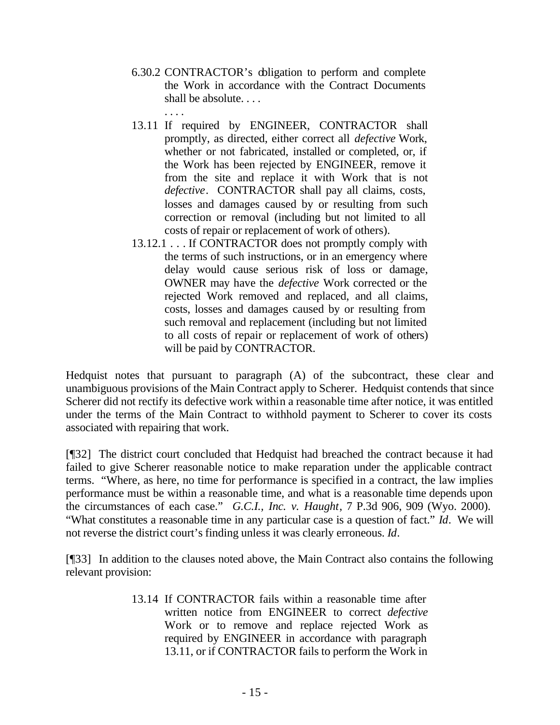- 6.30.2 CONTRACTOR's obligation to perform and complete the Work in accordance with the Contract Documents shall be absolute. . . .
- . . . . 13.11 If required by ENGINEER, CONTRACTOR shall promptly, as directed, either correct all *defective* Work, whether or not fabricated, installed or completed, or, if the Work has been rejected by ENGINEER, remove it from the site and replace it with Work that is not *defective*. CONTRACTOR shall pay all claims, costs, losses and damages caused by or resulting from such correction or removal (including but not limited to all costs of repair or replacement of work of others).
	- 13.12.1 . . . If CONTRACTOR does not promptly comply with the terms of such instructions, or in an emergency where delay would cause serious risk of loss or damage, OWNER may have the *defective* Work corrected or the rejected Work removed and replaced, and all claims, costs, losses and damages caused by or resulting from such removal and replacement (including but not limited to all costs of repair or replacement of work of others) will be paid by CONTRACTOR.

Hedquist notes that pursuant to paragraph (A) of the subcontract, these clear and unambiguous provisions of the Main Contract apply to Scherer. Hedquist contends that since Scherer did not rectify its defective work within a reasonable time after notice, it was entitled under the terms of the Main Contract to withhold payment to Scherer to cover its costs associated with repairing that work.

[¶32] The district court concluded that Hedquist had breached the contract because it had failed to give Scherer reasonable notice to make reparation under the applicable contract terms. "Where, as here, no time for performance is specified in a contract, the law implies performance must be within a reasonable time, and what is a reasonable time depends upon the circumstances of each case." *G.C.I., Inc. v. Haught*, 7 P.3d 906, 909 (Wyo. 2000). "What constitutes a reasonable time in any particular case is a question of fact." *Id*. We will not reverse the district court's finding unless it was clearly erroneous. *Id*.

[¶33] In addition to the clauses noted above, the Main Contract also contains the following relevant provision:

> 13.14 If CONTRACTOR fails within a reasonable time after written notice from ENGINEER to correct *defective* Work or to remove and replace rejected Work as required by ENGINEER in accordance with paragraph 13.11, or if CONTRACTOR fails to perform the Work in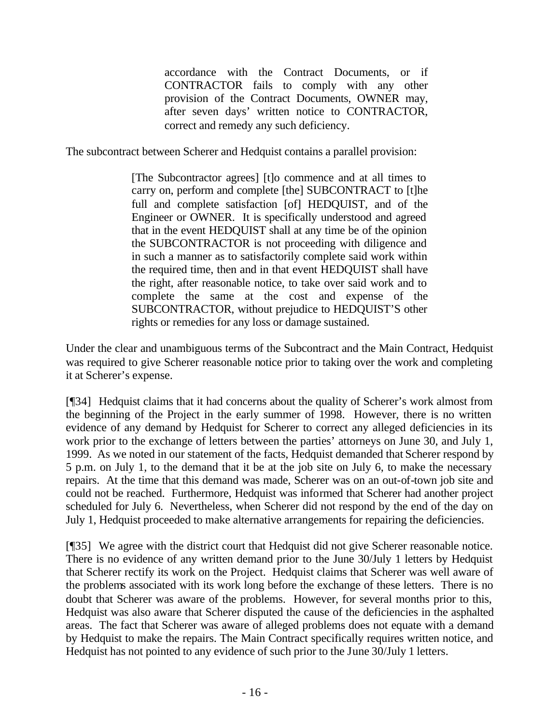accordance with the Contract Documents, or if CONTRACTOR fails to comply with any other provision of the Contract Documents, OWNER may, after seven days' written notice to CONTRACTOR, correct and remedy any such deficiency.

The subcontract between Scherer and Hedquist contains a parallel provision:

[The Subcontractor agrees] [t]o commence and at all times to carry on, perform and complete [the] SUBCONTRACT to [t]he full and complete satisfaction [of] HEDQUIST, and of the Engineer or OWNER. It is specifically understood and agreed that in the event HEDQUIST shall at any time be of the opinion the SUBCONTRACTOR is not proceeding with diligence and in such a manner as to satisfactorily complete said work within the required time, then and in that event HEDQUIST shall have the right, after reasonable notice, to take over said work and to complete the same at the cost and expense of the SUBCONTRACTOR, without prejudice to HEDQUIST'S other rights or remedies for any loss or damage sustained.

Under the clear and unambiguous terms of the Subcontract and the Main Contract, Hedquist was required to give Scherer reasonable notice prior to taking over the work and completing it at Scherer's expense.

[¶34] Hedquist claims that it had concerns about the quality of Scherer's work almost from the beginning of the Project in the early summer of 1998. However, there is no written evidence of any demand by Hedquist for Scherer to correct any alleged deficiencies in its work prior to the exchange of letters between the parties' attorneys on June 30, and July 1, 1999. As we noted in our statement of the facts, Hedquist demanded that Scherer respond by 5 p.m. on July 1, to the demand that it be at the job site on July 6, to make the necessary repairs. At the time that this demand was made, Scherer was on an out-of-town job site and could not be reached. Furthermore, Hedquist was informed that Scherer had another project scheduled for July 6. Nevertheless, when Scherer did not respond by the end of the day on July 1, Hedquist proceeded to make alternative arrangements for repairing the deficiencies.

[¶35] We agree with the district court that Hedquist did not give Scherer reasonable notice. There is no evidence of any written demand prior to the June 30/July 1 letters by Hedquist that Scherer rectify its work on the Project. Hedquist claims that Scherer was well aware of the problems associated with its work long before the exchange of these letters. There is no doubt that Scherer was aware of the problems. However, for several months prior to this, Hedquist was also aware that Scherer disputed the cause of the deficiencies in the asphalted areas. The fact that Scherer was aware of alleged problems does not equate with a demand by Hedquist to make the repairs. The Main Contract specifically requires written notice, and Hedquist has not pointed to any evidence of such prior to the June 30/July 1 letters.